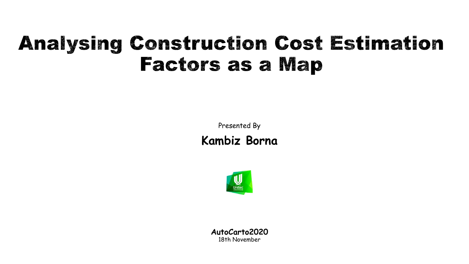# **Analysing Construction Cost Estimation Factors as a Map**

Presented By

**Kambiz Borna**



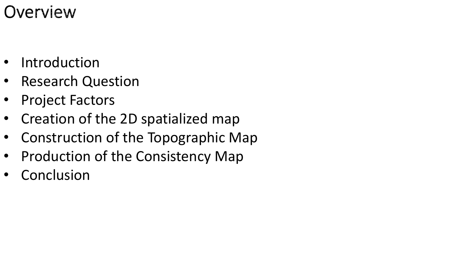## Overview

- Introduction
- Research Question
- Project Factors
- Creation of the 2D spatialized map
- Construction of the Topographic Map
- Production of the Consistency Map
- **Conclusion**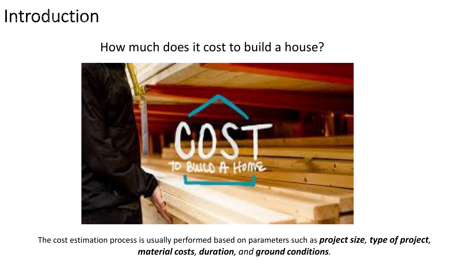#### Introduction

#### How much does it cost to build a house?



The cost estimation process is usually performed based on parameters such as *project size, type of project, material costs, duration, and ground conditions.*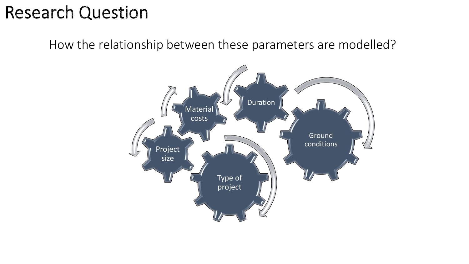## **Research Question**

How the relationship between these parameters are modelled?

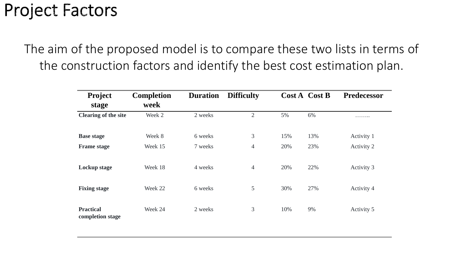## **Project Factors**

The aim of the proposed model is to compare these two lists in terms of the construction factors and identify the best cost estimation plan.

| <b>Project</b><br>stage              | <b>Completion</b><br>week | <b>Duration</b> | <b>Difficulty</b> |     | Cost A Cost B | <b>Predecessor</b> |
|--------------------------------------|---------------------------|-----------------|-------------------|-----|---------------|--------------------|
| <b>Clearing of the site</b>          | Week 2                    | 2 weeks         | $\overline{2}$    | 5%  | 6%            | .                  |
| <b>Base stage</b>                    | Week 8                    | 6 weeks         | 3                 | 15% | 13%           | Activity 1         |
| <b>Frame stage</b>                   | Week 15                   | 7 weeks         | $\overline{4}$    | 20% | 23%           | Activity 2         |
| Lockup stage                         | Week 18                   | 4 weeks         | $\overline{4}$    | 20% | 22%           | Activity 3         |
| <b>Fixing stage</b>                  | Week 22                   | 6 weeks         | 5                 | 30% | 27%           | Activity 4         |
| <b>Practical</b><br>completion stage | Week 24                   | 2 weeks         | 3                 | 10% | 9%            | Activity 5         |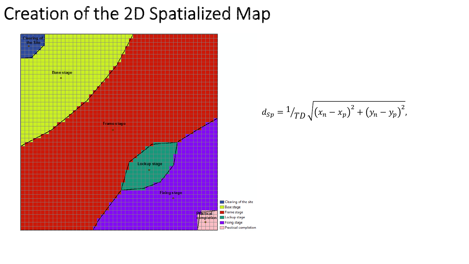## Creation of the 2D Spatialized Map



$$
d_{Sp} = \frac{1}{T} \sqrt{(x_n - x_p)^2 + (y_n - y_p)^2},
$$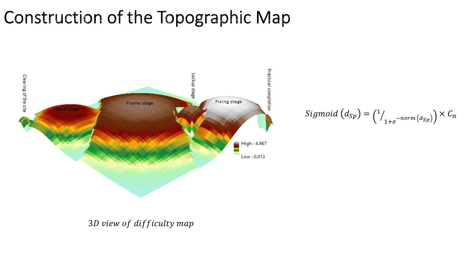# Construction of the Topographic Map



$$
Sigmoid\left(d_{Sp}\right) = \binom{1}{1+e^{-norm\left(d_{Sp}\right)}} \times C_n
$$

#### 3D view of difficulty map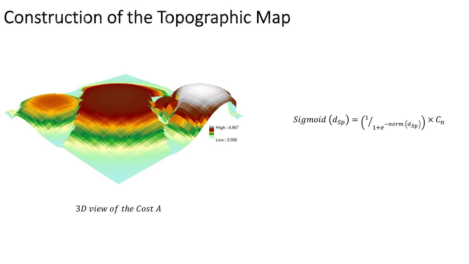## Construction of the Topographic Map



$$
Sigmoid (d_{Sp}) = {1 \choose 1}_{1+e^{-norm(d_{Sp})}} \times C_n
$$

3D view of the Cost A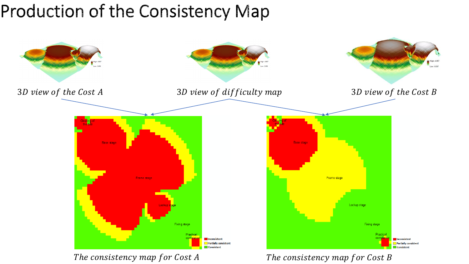## Production of the Consistency Map



The consistency map for Cost A

The consistency map for Cost B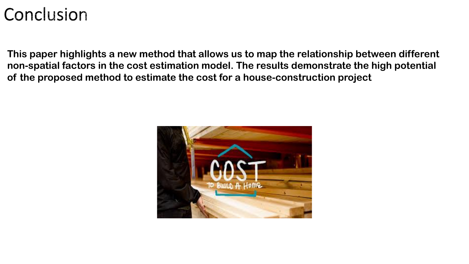## Conclusion

**This paper highlights a new method that allows us to map the relationship between different non-spatial factors in the cost estimation model. The results demonstrate the high potential of the proposed method to estimate the cost for a house-construction project**